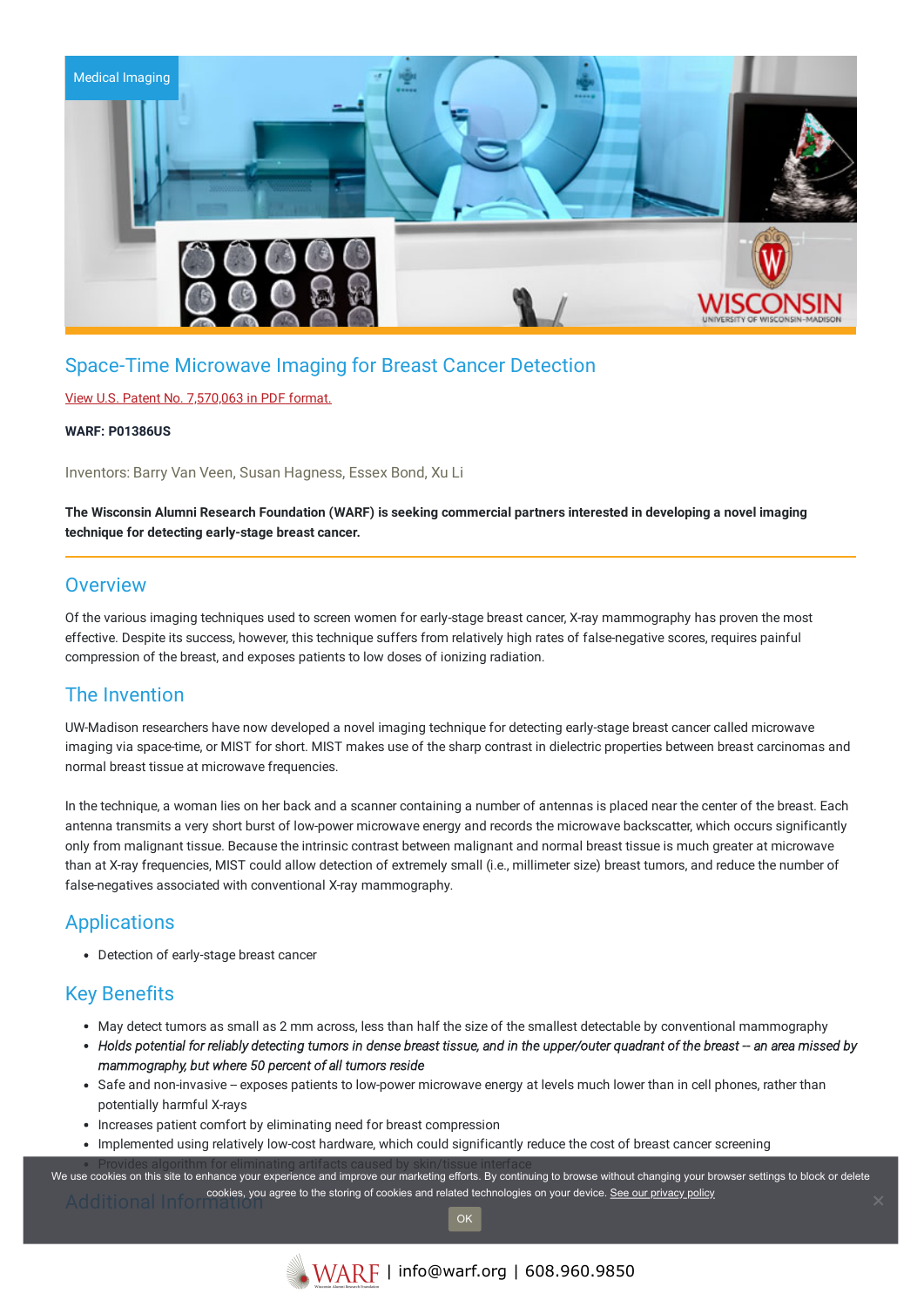

# Space-Time Microwave Imaging for Breast Cancer Detection

## View U.S. Patent No. [7,570,063](https://www.warf.org/wp-content/uploads/technologies/ipstatus/P01386US.PDF) in PDF format.

### **WARF: P01386US**

Inventors: Barry Van Veen, Susan Hagness, Essex Bond, Xu Li

The Wisconsin Alumni Research Foundation (WARF) is seeking commercial partners interested in developing a novel imaging **technique for detecting early-stage breast cancer.**

## **Overview**

Of the various imaging techniques used to screen women for early-stage breast cancer, X-ray mammography has proven the most effective. Despite its success, however, this technique suffers from relatively high rates of false-negative scores, requires painful compression of the breast, and exposes patients to low doses of ionizing radiation.

# The Invention

UW-Madison researchers have now developed a novel imaging technique for detecting early-stage breast cancer called microwave imaging via space-time, or MIST for short. MIST makes use of the sharp contrast in dielectric properties between breast carcinomas and normal breast tissue at microwave frequencies.

In the technique, a woman lies on her back and a scanner containing a number of antennas is placed near the center of the breast. Each antenna transmits a very short burst of low-power microwave energy and records the microwave backscatter, which occurs significantly only from malignant tissue. Because the intrinsic contrast between malignant and normal breast tissue is much greater at microwave than at X-ray frequencies, MIST could allow detection of extremely small (i.e., millimeter size) breast tumors, and reduce the number of false-negatives associated with conventional X-ray mammography.

# **Applications**

Detection of early-stage breast cancer

# Key Benefits

- May detect tumors as small as 2 mm across, less than half the size of the smallest detectable by conventional mammography
- Holds potential for reliably detecting tumors in dense breast tissue, and in the upper/outer quadrant of the breast -- an area missed by *mammography, but where 50 percent of all tumors reside*
- Safe and non-invasive -- exposes patients to low-power microwave energy at levels much lower than in cell phones, rather than potentially harmful X-rays
- Increases patient comfort by eliminating need for breast compression
- Implemented using relatively low-cost hardware, which could significantly reduce the cost of breast cancer screening

.<br>We use cookies on this site to enhance your experience and improve our marketing efforts. By continuing to browse without changing your browser settings to block or delete cookies, you agree to the storing of cookies and related technologies on your device. [See our privacy policy](https://www.warf.org/privacy-policy/)